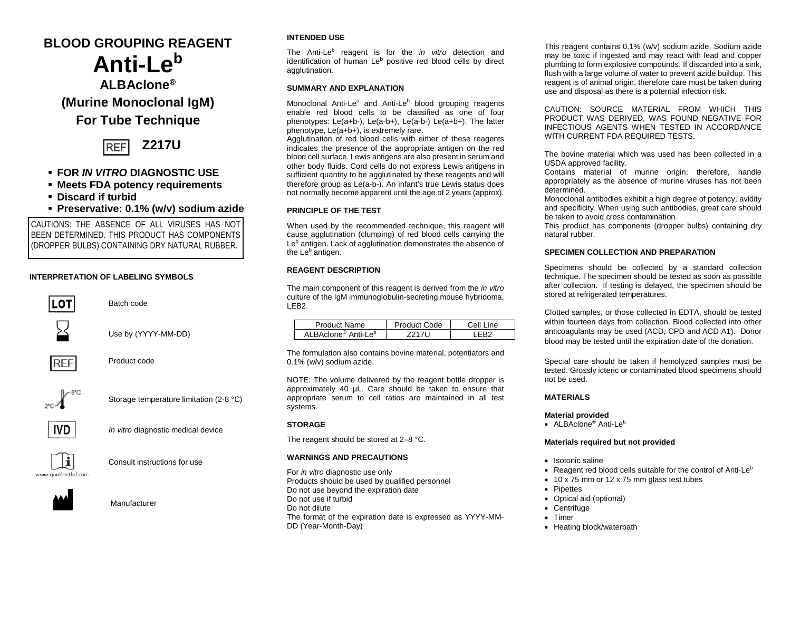# **BLOOD GROUPING REAGENT Anti-Leb**

**ALBAclone® (Murine Monoclonal IgM) For Tube Technique**



## **FOR** *IN VITRO* **DIAGNOSTIC USE**

- **Meets FDA potency requirements**
- **Discard if turbid**
- **Preservative: 0.1% (w/v) sodium azide**

CAUTIONS: THE ABSENCE OF ALL VIRUSES HAS NOT BEEN DETERMINED. THIS PRODUCT HAS COMPONENTS (DROPPER BULBS) CONTAINING DRY NATURAL RUBBER.

#### **INTERPRETATION OF LABELING SYMBOLS**



Batch code

Use by (YYYY-MM-DD)



Product code



Storage temperature limitation (2-8 °C)



*In vitro* diagnostic medical device



Consult instructions for use



Manufacturer

### **INTENDED USE**

The Anti-Le<sup>b</sup> reagent is for the *in vitro* detection and identification of human Le**<sup>b</sup>** positive red blood cells by direct agglutination.

#### **SUMMARY AND EXPLANATION**

Monoclonal Anti-Le<sup>a</sup> and Anti-Le<sup>b</sup> blood grouping reagents enable red blood cells to be classified as one of four phenotypes: Le(a+b-), Le(a-b+), Le(a-b-) Le(a+b+). The latter phenotype, Le(a+b+), is extremely rare.

Agglutination of red blood cells with either of these reagents indicates the presence of the appropriate antigen on the red blood cell surface. Lewis antigens are also present in serum and other body fluids. Cord cells do not express Lewis antigens in sufficient quantity to be agglutinated by these reagents and will therefore group as Le(a-b-). An infant's true Lewis status does not normally become apparent until the age of 2 years (approx).

#### **PRINCIPLE OF THE TEST**

When used by the recommended technique, this reagent will cause agglutination (clumping) of red blood cells carrying the Le<sup>b</sup> antigen. Lack of agglutination demonstrates the absence of the Le<sup>b</sup> antigen.

#### **REAGENT DESCRIPTION**

The main component of this reagent is derived from the *in vitro* culture of the IgM immunoglobulin-secreting mouse hybridoma, LEB2.

| Product Name                     | roduct Code | اام∩<br>ine. |
|----------------------------------|-------------|--------------|
| Anti-Le <sup>b</sup><br>BAclone® |             |              |

The formulation also contains bovine material, potentiators and 0.1% (w/v) sodium azide.

NOTE: The volume delivered by the reagent bottle dropper is approximately 40 µL. Care should be taken to ensure that appropriate serum to cell ratios are maintained in all test systems.

#### **STORAGE**

The reagent should be stored at 2–8 °C.

#### **WARNINGS AND PRECAUTIONS**

For *in vitro* diagnostic use only Products should be used by qualified personnel Do not use beyond the expiration date Do not use if turbid Do not dilute The format of the expiration date is expressed as YYYY-MM-DD (Year-Month-Day)

This reagent contains 0.1% (w/v) sodium azide. Sodium azide may be toxic if ingested and may react with lead and copper plumbing to form explosive compounds. If discarded into a sink, flush with a large volume of water to prevent azide buildup. This reagent is of animal origin, therefore care must be taken during use and disposal as there is a potential infection risk.

CAUTION: SOURCE MATERIAL FROM WHICH THIS PRODUCT WAS DERIVED, WAS FOUND NEGATIVE FOR INFECTIOUS AGENTS WHEN TESTED IN ACCORDANCE WITH CURRENT FDA REQUIRED TESTS.

The bovine material which was used has been collected in a USDA approved facility.

Contains material of murine origin; therefore, handle appropriately as the absence of murine viruses has not been determined.

Monoclonal antibodies exhibit a high degree of potency, avidity and specificity. When using such antibodies, great care should be taken to avoid cross contamination*.*

This product has components (dropper bulbs) containing dry natural rubber.

#### **SPECIMEN COLLECTION AND PREPARATION**

Specimens should be collected by a standard collection technique. The specimen should be tested as soon as possible after collection. If testing is delayed, the specimen should be stored at refrigerated temperatures.

Clotted samples, or those collected in EDTA, should be tested within fourteen days from collection. Blood collected into other anticoagulants may be used (ACD, CPD and ACD A1). Donor blood may be tested until the expiration date of the donation.

Special care should be taken if hemolyzed samples must be tested. Grossly icteric or contaminated blood specimens should not be used.

#### **MATERIALS**

**Material provided**

• ALBAclone<sup>®</sup> Anti-Le<sup>b</sup>

#### **Materials required but not provided**

- Isotonic saline
- Reagent red blood cells suitable for the control of Anti-Le<sup>b</sup>
- 10 x 75 mm or 12 x 75 mm glass test tubes
- **Pipettes**
- Optical aid (optional)
- Centrifuge
- Timer
- Heating block/waterbath